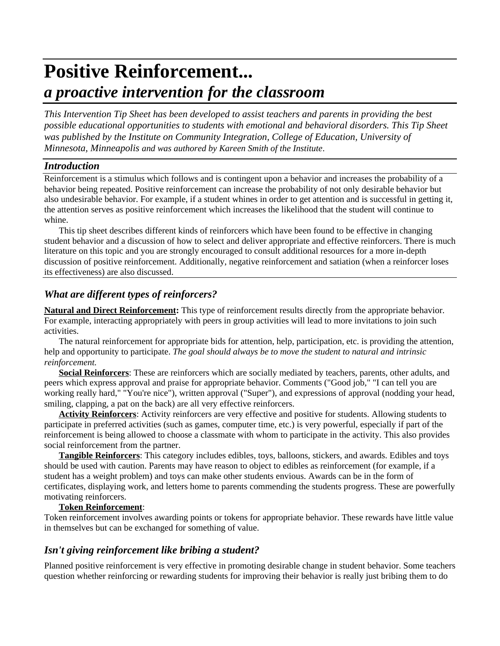# **Positive Reinforcement...** *a proactive intervention for the classroom*

*This Intervention Tip Sheet has been developed to assist teachers and parents in providing the best possible educational opportunities to students with emotional and behavioral disorders. This Tip Sheet was published by the Institute on Community Integration, College of Education, University of Minnesota, Minneapolis and was authored by Kareen Smith of the Institute*.

# *Introduction*

Reinforcement is a stimulus which follows and is contingent upon a behavior and increases the probability of a behavior being repeated. Positive reinforcement can increase the probability of not only desirable behavior but also undesirable behavior. For example, if a student whines in order to get attention and is successful in getting it, the attention serves as positive reinforcement which increases the likelihood that the student will continue to whine.

This tip sheet describes different kinds of reinforcers which have been found to be effective in changing student behavior and a discussion of how to select and deliver appropriate and effective reinforcers. There is much literature on this topic and you are strongly encouraged to consult additional resources for a more in-depth discussion of positive reinforcement. Additionally, negative reinforcement and satiation (when a reinforcer loses its effectiveness) are also discussed.

# *What are different types of reinforcers?*

**Natural and Direct Reinforcement:** This type of reinforcement results directly from the appropriate behavior. For example, interacting appropriately with peers in group activities will lead to more invitations to join such activities.

The natural reinforcement for appropriate bids for attention, help, participation, etc. is providing the attention, help and opportunity to participate. *The goal should always be to move the student to natural and intrinsic reinforcement.*

**Social Reinforcers**: These are reinforcers which are socially mediated by teachers, parents, other adults, and peers which express approval and praise for appropriate behavior. Comments ("Good job," "I can tell you are working really hard," "You're nice"), written approval ("Super"), and expressions of approval (nodding your head, smiling, clapping, a pat on the back) are all very effective reinforcers.

**Activity Reinforcers**: Activity reinforcers are very effective and positive for students. Allowing students to participate in preferred activities (such as games, computer time, etc.) is very powerful, especially if part of the reinforcement is being allowed to choose a classmate with whom to participate in the activity. This also provides social reinforcement from the partner.

**Tangible Reinforcers**: This category includes edibles, toys, balloons, stickers, and awards. Edibles and toys should be used with caution. Parents may have reason to object to edibles as reinforcement (for example, if a student has a weight problem) and toys can make other students envious. Awards can be in the form of certificates, displaying work, and letters home to parents commending the students progress. These are powerfully motivating reinforcers.

### **Token Reinforcement**:

Token reinforcement involves awarding points or tokens for appropriate behavior. These rewards have little value in themselves but can be exchanged for something of value.

# *Isn't giving reinforcement like bribing a student?*

Planned positive reinforcement is very effective in promoting desirable change in student behavior. Some teachers question whether reinforcing or rewarding students for improving their behavior is really just bribing them to do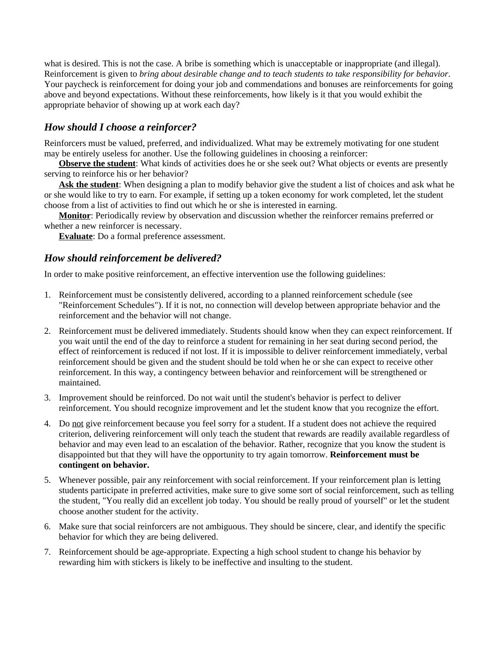what is desired. This is not the case. A bribe is something which is unacceptable or inappropriate (and illegal). Reinforcement is given to *bring about desirable change and to teach students to take responsibility for behavior*. Your paycheck is reinforcement for doing your job and commendations and bonuses are reinforcements for going above and beyond expectations. Without these reinforcements, how likely is it that you would exhibit the appropriate behavior of showing up at work each day?

# *How should I choose a reinforcer?*

Reinforcers must be valued, preferred, and individualized. What may be extremely motivating for one student may be entirely useless for another. Use the following guidelines in choosing a reinforcer:

**Observe the student**: What kinds of activities does he or she seek out? What objects or events are presently serving to reinforce his or her behavior?

**Ask the student**: When designing a plan to modify behavior give the student a list of choices and ask what he or she would like to try to earn. For example, if setting up a token economy for work completed, let the student choose from a list of activities to find out which he or she is interested in earning.

**Monitor**: Periodically review by observation and discussion whether the reinforcer remains preferred or whether a new reinforcer is necessary.

**Evaluate**: Do a formal preference assessment.

# *How should reinforcement be delivered?*

In order to make positive reinforcement, an effective intervention use the following guidelines:

- 1. Reinforcement must be consistently delivered, according to a planned reinforcement schedule (see "Reinforcement Schedules"). If it is not, no connection will develop between appropriate behavior and the reinforcement and the behavior will not change.
- 2. Reinforcement must be delivered immediately. Students should know when they can expect reinforcement. If you wait until the end of the day to reinforce a student for remaining in her seat during second period, the effect of reinforcement is reduced if not lost. If it is impossible to deliver reinforcement immediately, verbal reinforcement should be given and the student should be told when he or she can expect to receive other reinforcement. In this way, a contingency between behavior and reinforcement will be strengthened or maintained.
- 3. Improvement should be reinforced. Do not wait until the student's behavior is perfect to deliver reinforcement. You should recognize improvement and let the student know that you recognize the effort.
- 4. Do not give reinforcement because you feel sorry for a student. If a student does not achieve the required criterion, delivering reinforcement will only teach the student that rewards are readily available regardless of behavior and may even lead to an escalation of the behavior. Rather, recognize that you know the student is disappointed but that they will have the opportunity to try again tomorrow. **Reinforcement must be contingent on behavior.**
- 5. Whenever possible, pair any reinforcement with social reinforcement. If your reinforcement plan is letting students participate in preferred activities, make sure to give some sort of social reinforcement, such as telling the student, "You really did an excellent job today. You should be really proud of yourself" or let the student choose another student for the activity.
- 6. Make sure that social reinforcers are not ambiguous. They should be sincere, clear, and identify the specific behavior for which they are being delivered.
- 7. Reinforcement should be age-appropriate. Expecting a high school student to change his behavior by rewarding him with stickers is likely to be ineffective and insulting to the student.